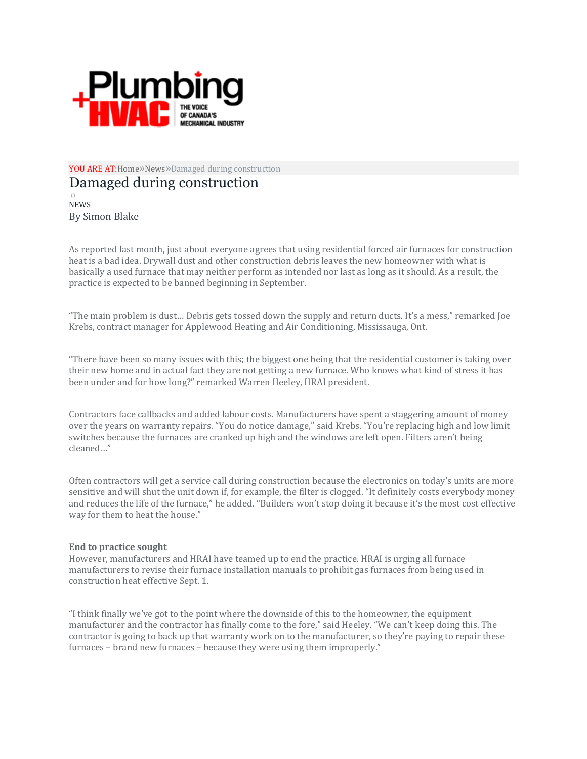

YOU ARE A[T:Home](https://plumbingandhvac.ca/)»[News](https://plumbingandhvac.ca/category/industry-news/)»Damaged during construction

## Damaged during construction

[0](https://plumbingandhvac.ca/damaged-during-construction/#respond) [NEWS](https://plumbingandhvac.ca/category/industry-news/) By Simon Blake

As reported last month, just about everyone agrees that using residential forced air furnaces for construction heat is a bad idea. Drywall dust and other construction debris leaves the new homeowner with what is basically a used furnace that may neither perform as intended nor last as long as it should. As a result, the practice is expected to be banned beginning in September.

"The main problem is dust… Debris gets tossed down the supply and return ducts. It's a mess," remarked Joe Krebs, contract manager for Applewood Heating and Air Conditioning, Mississauga, Ont.

"There have been so many issues with this; the biggest one being that the residential customer is taking over their new home and in actual fact they are not getting a new furnace. Who knows what kind of stress it has been under and for how long?" remarked Warren Heeley, HRAI president.

Contractors face callbacks and added labour costs. Manufacturers have spent a staggering amount of money over the years on warranty repairs. "You do notice damage," said Krebs. "You're replacing high and low limit switches because the furnaces are cranked up high and the windows are left open. Filters aren't being cleaned…"

Often contractors will get a service call during construction because the electronics on today's units are more sensitive and will shut the unit down if, for example, the filter is clogged. "It definitely costs everybody money and reduces the life of the furnace," he added. "Builders won't stop doing it because it's the most cost effective way for them to heat the house."

## **End to practice sought**

However, manufacturers and HRAI have teamed up to end the practice. HRAI is urging all furnace manufacturers to revise their furnace installation manuals to prohibit gas furnaces from being used in construction heat effective Sept. 1.

"I think finally we've got to the point where the downside of this to the homeowner, the equipment manufacturer and the contractor has finally come to the fore," said Heeley. "We can't keep doing this. The contractor is going to back up that warranty work on to the manufacturer, so they're paying to repair these furnaces – brand new furnaces – because they were using them improperly."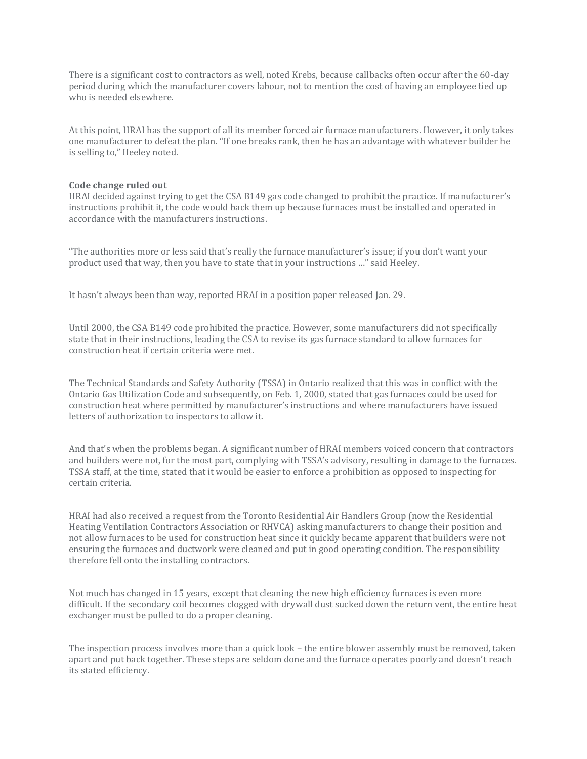There is a significant cost to contractors as well, noted Krebs, because callbacks often occur after the 60-day period during which the manufacturer covers labour, not to mention the cost of having an employee tied up who is needed elsewhere.

At this point, HRAI has the support of all its member forced air furnace manufacturers. However, it only takes one manufacturer to defeat the plan. "If one breaks rank, then he has an advantage with whatever builder he is selling to," Heeley noted.

## **Code change ruled out**

HRAI decided against trying to get the CSA B149 gas code changed to prohibit the practice. If manufacturer's instructions prohibit it, the code would back them up because furnaces must be installed and operated in accordance with the manufacturers instructions.

"The authorities more or less said that's really the furnace manufacturer's issue; if you don't want your product used that way, then you have to state that in your instructions …" said Heeley.

It hasn't always been than way, reported HRAI in a position paper released Jan. 29.

Until 2000, the CSA B149 code prohibited the practice. However, some manufacturers did not specifically state that in their instructions, leading the CSA to revise its gas furnace standard to allow furnaces for construction heat if certain criteria were met.

The Technical Standards and Safety Authority (TSSA) in Ontario realized that this was in conflict with the Ontario Gas Utilization Code and subsequently, on Feb. 1, 2000, stated that gas furnaces could be used for construction heat where permitted by manufacturer's instructions and where manufacturers have issued letters of authorization to inspectors to allow it.

And that's when the problems began. A significant number of HRAI members voiced concern that contractors and builders were not, for the most part, complying with TSSA's advisory, resulting in damage to the furnaces. TSSA staff, at the time, stated that it would be easier to enforce a prohibition as opposed to inspecting for certain criteria.

HRAI had also received a request from the Toronto Residential Air Handlers Group (now the Residential Heating Ventilation Contractors Association or RHVCA) asking manufacturers to change their position and not allow furnaces to be used for construction heat since it quickly became apparent that builders were not ensuring the furnaces and ductwork were cleaned and put in good operating condition. The responsibility therefore fell onto the installing contractors.

Not much has changed in 15 years, except that cleaning the new high efficiency furnaces is even more difficult. If the secondary coil becomes clogged with drywall dust sucked down the return vent, the entire heat exchanger must be pulled to do a proper cleaning.

The inspection process involves more than a quick look – the entire blower assembly must be removed, taken apart and put back together. These steps are seldom done and the furnace operates poorly and doesn't reach its stated efficiency.